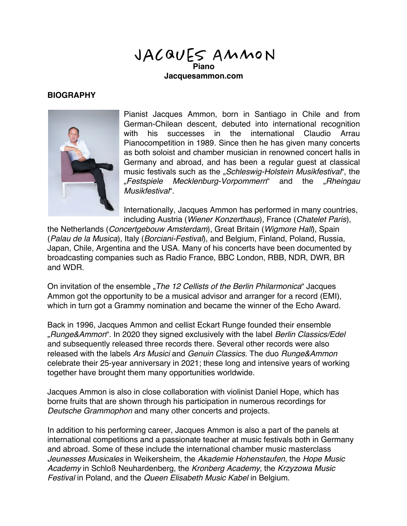JACQUES AMMON **Piano**

**Jacquesammon.com**

## **BIOGRAPHY**



Pianist Jacques Ammon, born in Santiago in Chile and from German-Chilean descent, debuted into international recognition with his successes in the international Claudio Arrau Pianocompetition in 1989. Since then he has given many concerts as both soloist and chamber musician in renowned concert halls in Germany and abroad, and has been a regular guest at classical music festivals such as the "*Schleswig-Holstein Musikfestival*", the "*Festspiele Mecklenburg-Vorpommern*" and the "*Rheingau Musikfestival*".

Internationally, Jacques Ammon has performed in many countries, including Austria (*Wiener Konzerthaus*), France (*Chatelet Paris*),

the Netherlands (*Concertgebouw Amsterdam*), Great Britain (*Wigmore Hall*), Spain (*Palau de la Musica*), Italy (*Borciani-Festival*), and Belgium, Finland, Poland, Russia, Japan, Chile, Argentina and the USA. Many of his concerts have been documented by broadcasting companies such as Radio France, BBC London, RBB, NDR, DWR, BR and WDR.

On invitation of the ensemble "*The 12 Cellists of the Berlin Philarmonica*" Jacques Ammon got the opportunity to be a musical advisor and arranger for a record (EMI), which in turn got a Grammy nomination and became the winner of the Echo Award.

Back in 1996, Jacques Ammon and cellist Eckart Runge founded their ensemble "*Runge&Ammon*". In 2020 they signed exclusively with the label *Berlin Classics/Edel* and subsequently released three records there. Several other records were also released with the labels *Ars Musici* and *Genuin Classics*. The duo *Runge&Ammon* celebrate their 25-year anniversary in 2021; these long and intensive years of working together have brought them many opportunities worldwide.

Jacques Ammon is also in close collaboration with violinist Daniel Hope, which has borne fruits that are shown through his participation in numerous recordings for *Deutsche Grammophon* and many other concerts and projects.

In addition to his performing career, Jacques Ammon is also a part of the panels at international competitions and a passionate teacher at music festivals both in Germany and abroad. Some of these include the international chamber music masterclass *Jeunesses Musicales* in Weikersheim, the *Akademie Hohenstaufen*, the *Hope Music Academy* in Schloß Neuhardenberg, the *Kronberg Academy*, the *Krzyzowa Music Festival* in Poland, and the *Queen Elisabeth Music Kabel* in Belgium.